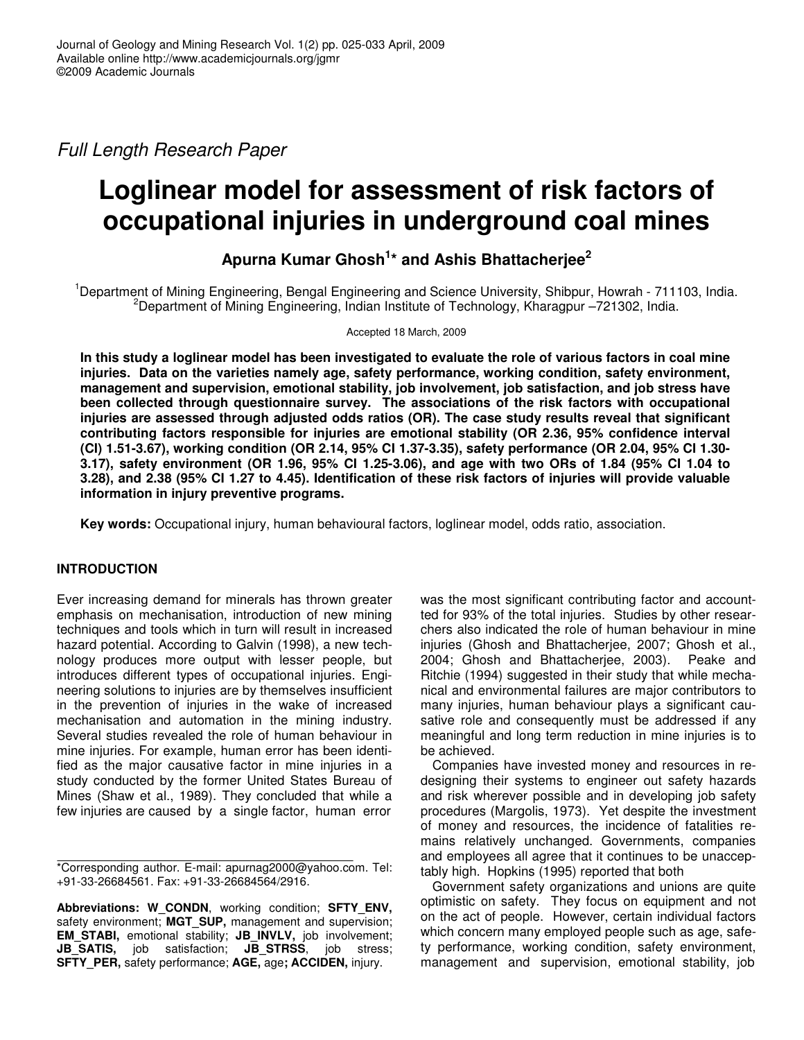*Full Length Research Paper*

# **Loglinear model for assessment of risk factors of occupational injuries in underground coal mines**

**Apurna Kumar Ghosh 1 \* and Ashis Bhattacherjee 2**

<sup>1</sup>Department of Mining Engineering, Bengal Engineering and Science University, Shibpur, Howrah - 711103, India. <sup>2</sup>Department of Mining Engineering, Indian Institute of Technology, Kharagpur  $-721302$ , India.

Accepted 18 March, 2009

In this study a loglinear model has been investigated to evaluate the role of various factors in coal mine **injuries. Data on the varieties namely age, safety performance, working condition, safety environment, management and supervision, emotional stability, job involvement, job satisfaction, and job stress have been collected through questionnaire survey. The associations of the risk factors with occupational injuries are assessed through adjusted odds ratios (OR). The case study results reveal that significant contributing factors responsible for injuries are emotional stability (OR 2.36, 95% confidence interval (CI) 1.51-3.67), working condition (OR 2.14, 95% CI 1.37-3.35), safety performance (OR 2.04, 95% CI 1.30-** 3.17), safety environment (OR 1.96, 95% CI 1.25-3.06), and age with two ORs of 1.84 (95% CI 1.04 to 3.28), and 2.38 (95% Cl 1.27 to 4.45). Identification of these risk factors of injuries will provide valuable **information in injury preventive programs.**

**Key words:** Occupational injury, human behavioural factors, loglinear model, odds ratio, association.

# **INTRODUCTION**

Ever increasing demand for minerals has thrown greater emphasis on mechanisation, introduction of new mining techniques and tools which in turn will result in increased hazard potential. According to Galvin (1998), a new technology produces more output with lesser people, but introduces different types of occupational injuries. Engineering solutions to injuries are by themselves insufficient in the prevention of injuries in the wake of increased mechanisation and automation in the mining industry. Several studies revealed the role of human behaviour in mine injuries. For example, human error has been identified as the major causative factor in mine injuries in a study conducted by the former United States Bureau of Mines (Shaw et al., 1989). They concluded that while a few injuries are caused by a single factor, human error

\*Corresponding author. E-mail: apurnag2000@yahoo.com. Tel: +91-33-26684561. Fax: +91-33-26684564/2916.

**Abbreviations: W\_CONDN**, working condition; **SFTY\_ENV,** safety environment; **MGT\_SUP,** management and supervision; **EM\_STABI,** emotional stability; **JB\_INVLV,** job involvement; **JB\_SATIS,** job satisfaction; **JB\_STRSS**, job stress; **SFTY\_PER,** safety performance; **AGE,** age**; ACCIDEN,** injury.

was the most significant contributing factor and accountted for 93% of the total injuries. Studies by other researchers also indicated the role of human behaviour in mine injuries (Ghosh and Bhattacherjee, 2007; Ghosh et al., 2004; Ghosh and Bhattacherjee, 2003). Peake and Ritchie (1994) suggested in their study that while mechanical and environmental failures are major contributors to many injuries, human behaviour plays a significant causative role and consequently must be addressed if any meaningful and long term reduction in mine injuries is to be achieved.

Companies have invested money and resources in redesigning their systems to engineer out safety hazards and risk wherever possible and in developing job safety procedures (Margolis, 1973). Yet despite the investment of money and resources, the incidence of fatalities remains relatively unchanged. Governments, companies and employees all agree that it continues to be unacceptably high. Hopkins (1995) reported that both

Government safety organizations and unions are quite optimistic on safety. They focus on equipment and not on the act of people. However, certain individual factors which concern many employed people such as age, safety performance, working condition, safety environment, management and supervision, emotional stability, job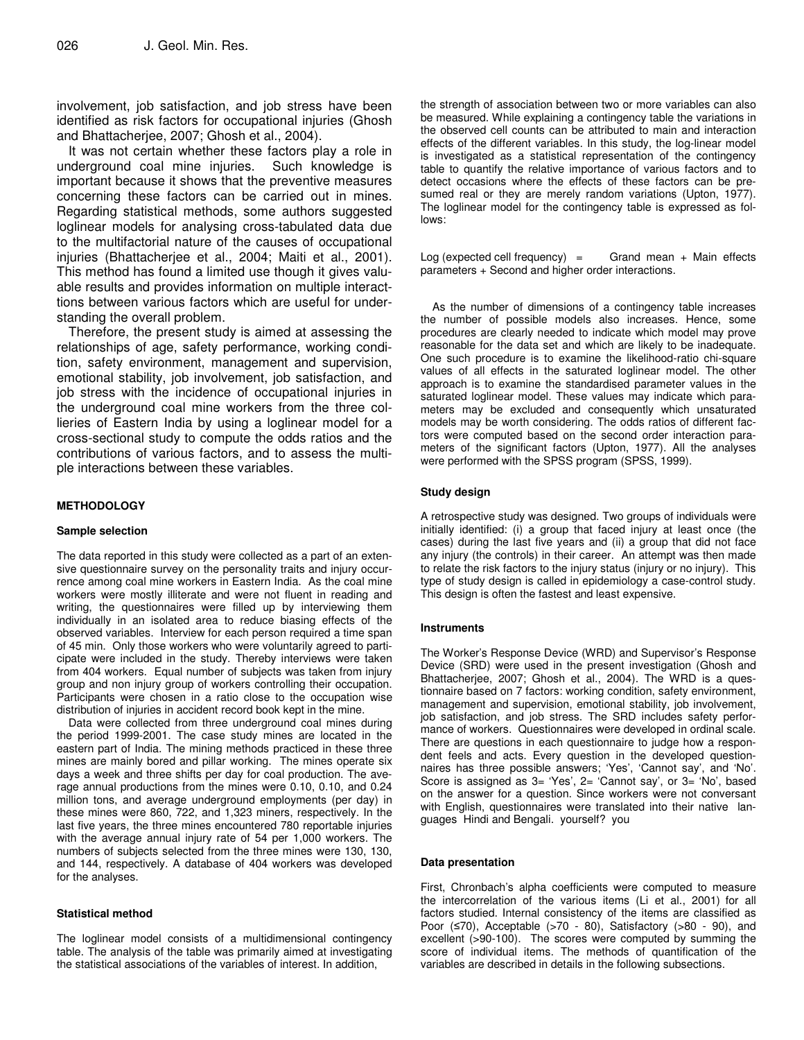involvement, job satisfaction, and job stress have been identified as risk factors for occupational injuries (Ghosh and Bhattacherjee, 2007; Ghosh et al., 2004).

It was not certain whether these factors play a role in underground coal mine injuries. Such knowledge is important because it shows that the preventive measures concerning these factors can be carried out in mines. Regarding statistical methods, some authors suggested loglinear models for analysing cross-tabulated data due to the multifactorial nature of the causes of occupational injuries (Bhattacherjee et al., 2004; Maiti et al., 2001). This method has found a limited use though it gives valuable results and provides information on multiple interacttions between various factors which are useful for understanding the overall problem.

Therefore, the present study is aimed at assessing the relationships of age, safety performance, working condition, safety environment, management and supervision, emotional stability, job involvement, job satisfaction, and job stress with the incidence of occupational injuries in the underground coal mine workers from the three collieries of Eastern India by using a loglinear model for a cross-sectional study to compute the odds ratios and the contributions of various factors, and to assess the multiple interactions between these variables.

# **METHODOLOGY**

# **Sample selection**

The data reported in this study were collected as a part of an extensive questionnaire survey on the personality traits and injury occurrence among coal mine workers in Eastern India. As the coal mine workers were mostly illiterate and were not fluent in reading and writing, the questionnaires were filled up by interviewing them individually in an isolated area to reduce biasing effects of the observed variables. Interview for each person required a time span of 45 min. Only those workers who were voluntarily agreed to participate were included in the study. Thereby interviews were taken from 404 workers. Equal number of subjects was taken from injury group and non injury group of workers controlling their occupation. Participants were chosen in a ratio close to the occupation wise distribution of injuries in accident record book kept in the mine.

Data were collected from three underground coal mines during the period 1999-2001. The case study mines are located in the eastern part of India. The mining methods practiced in these three mines are mainly bored and pillar working. The mines operate six days a week and three shifts per day for coal production. The average annual productions from the mines were 0.10, 0.10, and 0.24 million tons, and average underground employments (per day) in these mines were 860, 722, and 1,323 miners, respectively. In the last five years, the three mines encountered 780 reportable injuries with the average annual injury rate of 54 per 1,000 workers. The numbers of subjects selected from the three mines were 130, 130, and 144, respectively. A database of 404 workers was developed for the analyses.

# **Statistical method**

The loglinear model consists of a multidimensional contingency table. The analysis of the table was primarily aimed at investigating the statistical associations of the variables of interest. In addition,

the strength of association between two or more variables can also be measured. While explaining a contingency table the variations in the observed cell counts can be attributed to main and interaction effects of the different variables. In this study, the log-linear model is investigated as a statistical representation of the contingency table to quantify the relative importance of various factors and to detect occasions where the effects of these factors can be presumed real or they are merely random variations (Upton, 1977). The loglinear model for the contingency table is expressed as follows:

Log (expected cell frequency)  $=$  Grand mean + Main effects parameters + Second and higher order interactions.

As the number of dimensions of a contingency table increases the number of possible models also increases. Hence, some procedures are clearly needed to indicate which model may prove reasonable for the data set and which are likely to be inadequate. One such procedure is to examine the likelihood-ratio chi-square values of all effects in the saturated loglinear model. The other approach is to examine the standardised parameter values in the saturated loglinear model. These values may indicate which parameters may be excluded and consequently which unsaturated models may be worth considering. The odds ratios of different factors were computed based on the second order interaction parameters of the significant factors (Upton, 1977). All the analyses were performed with the SPSS program (SPSS, 1999).

# **Study design**

A retrospective study was designed. Two groups of individuals were initially identified: (i) a group that faced injury at least once (the cases) during the last five years and (ii) a group that did not face any injury (the controls) in their career. An attempt was then made to relate the risk factors to the injury status (injury or no injury). This type of study design is called in epidemiology a case-control study. This design is often the fastest and least expensive.

# **Instruments**

The Worker's Response Device (WRD) and Supervisor's Response Device (SRD) were used in the present investigation (Ghosh and Bhattacherjee, 2007; Ghosh et al., 2004). The WRD is a questionnaire based on 7 factors: working condition, safety environment, management and supervision, emotional stability, job involvement, job satisfaction, and job stress. The SRD includes safety performance of workers. Questionnaires were developed in ordinal scale. There are questions in each questionnaire to judge how a respondent feels and acts. Every question in the developed questionnaires has three possible answers; 'Yes', 'Cannot say', and 'No'. Score is assigned as 3= 'Yes', 2= 'Cannot say', or 3= 'No', based on the answer for a question. Since workers were not conversant with English, questionnaires were translated into their native languages Hindi and Bengali. yourself? you

#### **Data presentation**

First, Chronbach's alpha coefficients were computed to measure the intercorrelation of the various items (Li et al., 2001) for all factors studied. Internal consistency of the items are classified as Poor  $(570)$ , Acceptable  $(570 - 80)$ , Satisfactory  $(580 - 90)$ , and excellent (>90-100). The scores were computed by summing the score of individual items. The methods of quantification of the variables are described in details in the following subsections.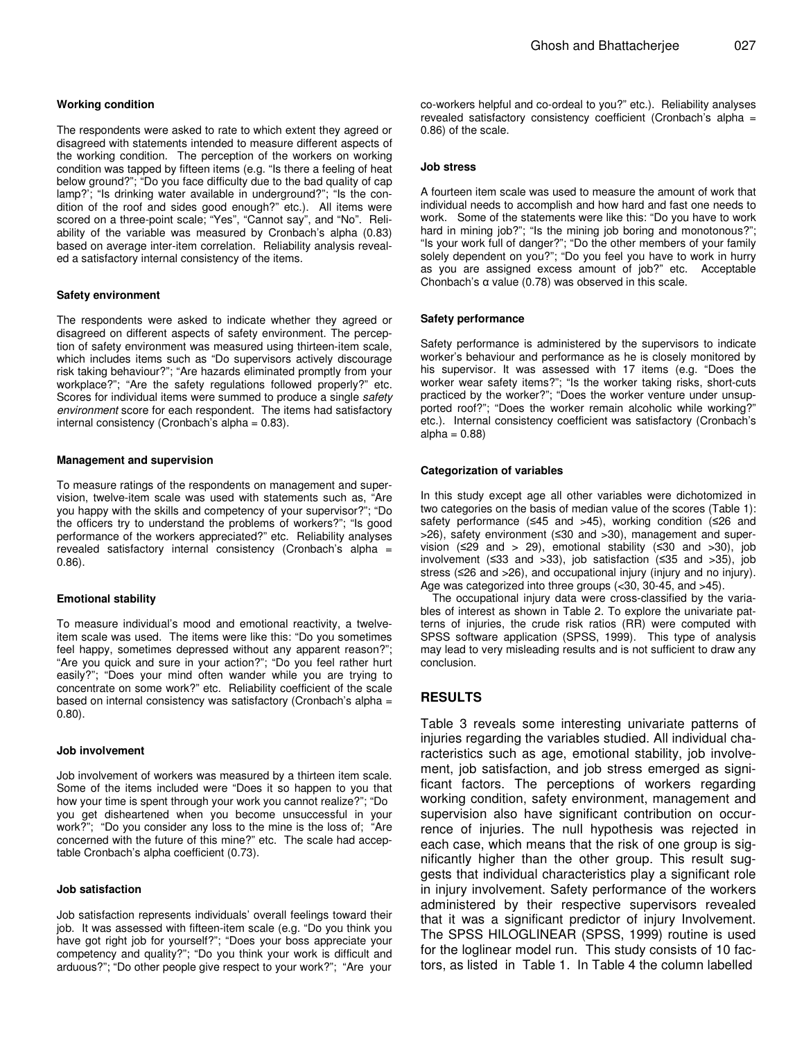#### **Working condition**

The respondents were asked to rate to which extent they agreed or disagreed with statements intended to measure different aspects of the working condition. The perception of the workers on working condition was tapped by fifteen items (e.g. "Is there a feeling of heat below ground?"; "Do you face difficulty due to the bad quality of cap lamp?'; "Is drinking water available in underground?"; "Is the condition of the roof and sides good enough?" etc.). All items were scored on a three-point scale; "Yes", "Cannot say", and "No". Reliability of the variable was measured by Cronbach's alpha (0.83) based on average inter-item correlation. Reliability analysis revealed a satisfactory internal consistency of the items.

#### **Safety environment**

The respondents were asked to indicate whether they agreed or disagreed on different aspects of safety environment. The perception of safety environment was measured using thirteen-item scale, which includes items such as "Do supervisors actively discourage risk taking behaviour?"; "Are hazards eliminated promptly from your workplace?"; "Are the safety regulations followed properly?" etc. Scores for individual items were summed to produce a single *safety environment* score for each respondent. The items had satisfactory internal consistency (Cronbach's alpha = 0.83).

#### **Management and supervision**

To measure ratings of the respondents on management and supervision, twelve-item scale was used with statements such as, "Are you happy with the skills and competency of your supervisor?"; "Do the officers try to understand the problems of workers?"; "Is good performance of the workers appreciated?" etc. Reliability analyses revealed satisfactory internal consistency (Cronbach's alpha = 0.86).

#### **Emotional stability**

To measure individual's mood and emotional reactivity, a twelveitem scale was used. The items were like this: "Do you sometimes feel happy, sometimes depressed without any apparent reason?"; "Are you quick and sure in your action?"; "Do you feel rather hurt easily?"; "Does your mind often wander while you are trying to concentrate on some work?" etc. Reliability coefficient of the scale based on internal consistency was satisfactory (Cronbach's alpha = 0.80).

#### **Job involvement**

Job involvement of workers was measured by a thirteen item scale. Some of the items included were "Does it so happen to you that how your time is spent through your work you cannot realize?"; "Do you get disheartened when you become unsuccessful in your work?"; "Do you consider any loss to the mine is the loss of; "Are concerned with the future of this mine?" etc. The scale had acceptable Cronbach's alpha coefficient (0.73).

#### **Job satisfaction**

Job satisfaction represents individuals' overall feelings toward their job. It was assessed with fifteen-item scale (e.g. "Do you think you have got right job for yourself?"; "Does your boss appreciate your competency and quality?"; "Do you think your work is difficult and arduous?"; "Do other people give respect to your work?"; "Are your

co-workers helpful and co-ordeal to you?" etc.). Reliability analyses revealed satisfactory consistency coefficient (Cronbach's alpha = 0.86) of the scale.

# **Job stress**

A fourteen item scale was used to measure the amount of work that individual needs to accomplish and how hard and fast one needs to work. Some of the statements were like this: "Do you have to work hard in mining job?"; "Is the mining job boring and monotonous?"; "Is your work full of danger?"; "Do the other members of your family solely dependent on you?"; "Do you feel you have to work in hurry as you are assigned excess amount of job?" etc. Acceptable Chonbach's  $\alpha$  value (0.78) was observed in this scale.

#### **Safety performance**

Safety performance is administered by the supervisors to indicate worker's behaviour and performance as he is closely monitored by his supervisor. It was assessed with 17 items (e.g. "Does the worker wear safety items?"; "Is the worker taking risks, short-cuts practiced by the worker?"; "Does the worker venture under unsupported roof?"; "Does the worker remain alcoholic while working?" etc.). Internal consistency coefficient was satisfactory (Cronbach's  $alpha = 0.88$ 

#### **Categorization of variables**

In this study except age all other variables were dichotomized in two categories on the basis of median value of the scores (Table 1): safety performance ( $\leq 45$  and  $>45$ ), working condition ( $\leq 26$  and  $>26$ ), safety environment ( $\leq 30$  and  $>30$ ), management and supervision ( $\leq$ 29 and > 29), emotional stability ( $\leq$ 30 and >30), job involvement ( $\leq$ 33 and  $>$ 33), job satisfaction ( $\leq$ 35 and  $>$ 35), job stress ( $\leq$ 26 and  $>$ 26), and occupational injury (injury and no injury). Age was categorized into three groups (<30, 30-45, and >45).

The occupational injury data were cross-classified by the variables of interest as shown in Table 2. To explore the univariate patterns of injuries, the crude risk ratios (RR) were computed with SPSS software application (SPSS, 1999). This type of analysis may lead to very misleading results and is not sufficient to draw any conclusion.

# **RESULTS**

Table 3 reveals some interesting univariate patterns of injuries regarding the variables studied. All individual characteristics such as age, emotional stability, job involvement, job satisfaction, and job stress emerged as significant factors. The perceptions of workers regarding working condition, safety environment, management and supervision also have significant contribution on occurrence of injuries. The null hypothesis was rejected in each case, which means that the risk of one group is significantly higher than the other group. This result suggests that individual characteristics play a significant role in injury involvement. Safety performance of the workers administered by their respective supervisors revealed that it was a significant predictor of injury Involvement. The SPSS HILOGLINEAR (SPSS, 1999) routine is used for the loglinear model run. This study consists of 10 factors, as listed in Table 1. In Table 4 the column labelled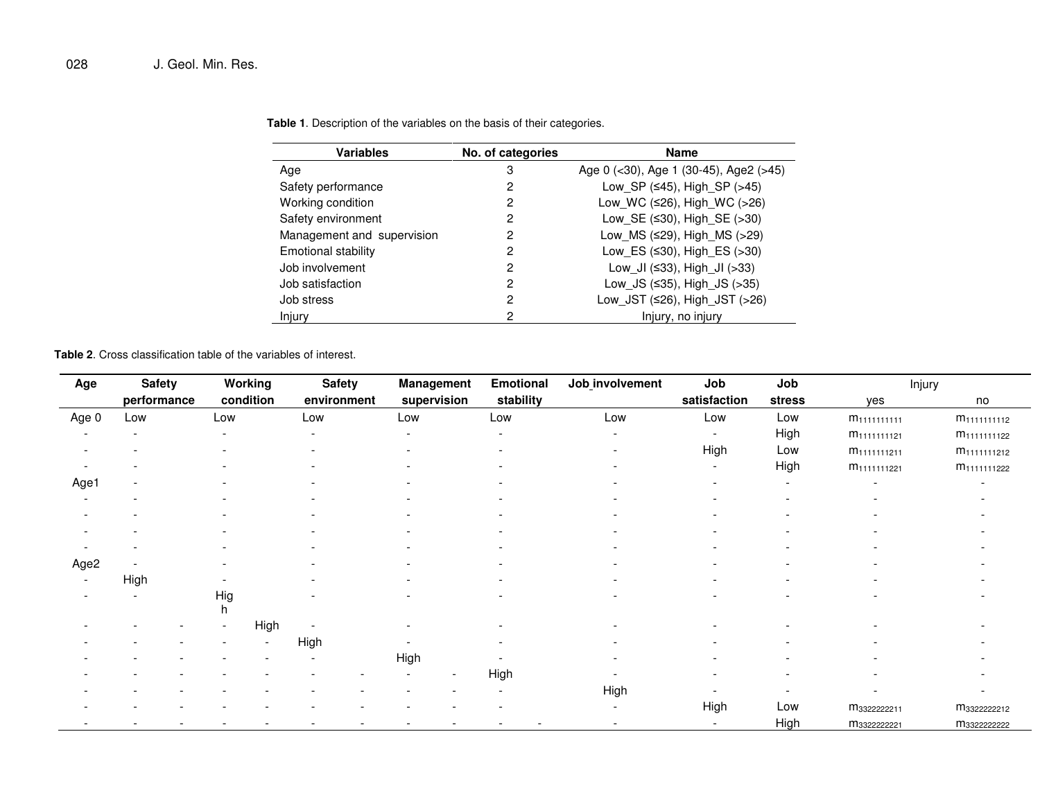| <b>Variables</b>           | No. of categories | Name                                   |
|----------------------------|-------------------|----------------------------------------|
| Age                        | 3                 | Age 0 $(30), Age 1 (30-45), Age2 (>5)$ |
| Safety performance         | 2                 | Low SP $(≤45)$ , High SP $(>45)$       |
| Working condition          | 2                 | Low WC ( $\leq$ 26), High WC ( $>$ 26) |
| Safety environment         | 2                 | Low SE $(≤30)$ , High SE $(>30)$       |
| Management and supervision | 2                 | Low MS $(≤29)$ , High MS $(>29)$       |
| Emotional stability        | 2                 | Low_ES (≤30), High_ES (>30)            |
| Job involvement            | 2                 | Low JI ( $\leq$ 33), High JI ( $>$ 33) |
| Job satisfaction           | 2                 | Low JS $(≤35)$ , High JS $(>35)$       |
| Job stress                 | 2                 | Low_JST (≤26), High_JST (>26)          |
| Injury                     | 2                 | Injury, no injury                      |

**Table 1**. Description of the variables on the basis of their categories.

**Table 2**. Cross classification table of the variables of interest.

| Age                      | <b>Safety</b> |          | Working   | <b>Safety</b>            | Management               | <b>Emotional</b> | Job involvement          | Job                      | Job                      | Injury                   |                          |
|--------------------------|---------------|----------|-----------|--------------------------|--------------------------|------------------|--------------------------|--------------------------|--------------------------|--------------------------|--------------------------|
|                          | performance   |          | condition | environment              | supervision              | stability        |                          | satisfaction             | stress                   | yes                      | no                       |
| Age 0                    | Low           | Low      |           | Low                      | Low                      | Low              | Low                      | Low                      | Low                      | m <sub>1111111111</sub>  | m <sub>1111111112</sub>  |
| $\overline{\phantom{a}}$ |               |          |           | $\overline{\phantom{a}}$ | $\overline{\phantom{0}}$ | $\sim$           | $\overline{\phantom{0}}$ | $\overline{\phantom{a}}$ | High                     | m <sub>1111111121</sub>  | m <sub>1111111122</sub>  |
|                          |               |          |           | ۰                        |                          |                  |                          | High                     | Low                      | m <sub>1111111211</sub>  | M <sub>1111111212</sub>  |
|                          |               |          |           |                          |                          |                  |                          |                          | High                     | M <sub>1111111221</sub>  | M <sub>1111111222</sub>  |
| Age1                     |               |          |           |                          |                          |                  |                          |                          | $\overline{\phantom{a}}$ |                          |                          |
| $\overline{\phantom{a}}$ |               |          |           |                          |                          |                  |                          | $\overline{\phantom{a}}$ | $\overline{\phantom{a}}$ |                          |                          |
|                          |               |          |           |                          |                          |                  |                          |                          |                          |                          |                          |
|                          |               |          |           |                          |                          |                  |                          |                          |                          |                          |                          |
|                          |               |          |           |                          |                          |                  |                          |                          |                          |                          |                          |
| Age2                     |               |          |           |                          |                          |                  |                          |                          |                          |                          |                          |
|                          | High          |          |           |                          |                          |                  |                          |                          |                          |                          |                          |
|                          |               | Hig<br>h |           |                          |                          |                  |                          |                          |                          |                          |                          |
|                          |               |          | High      |                          |                          |                  |                          |                          |                          |                          |                          |
|                          |               |          |           | High                     |                          |                  |                          |                          |                          |                          |                          |
|                          |               |          |           |                          | High                     |                  |                          |                          |                          |                          |                          |
|                          |               |          |           |                          | $\overline{\phantom{a}}$ | High             |                          |                          |                          |                          |                          |
|                          |               |          |           |                          |                          |                  | High                     | $\overline{\phantom{a}}$ | $\overline{\phantom{a}}$ | $\overline{\phantom{0}}$ | $\overline{\phantom{a}}$ |
|                          |               |          |           |                          |                          |                  | $\overline{\phantom{a}}$ | High                     | Low                      | M3322222211              | M <sub>3322222212</sub>  |
|                          |               |          |           |                          |                          |                  | $\overline{\phantom{a}}$ | $\overline{\phantom{a}}$ | High                     | M3322222221              | m <sub>3322222222</sub>  |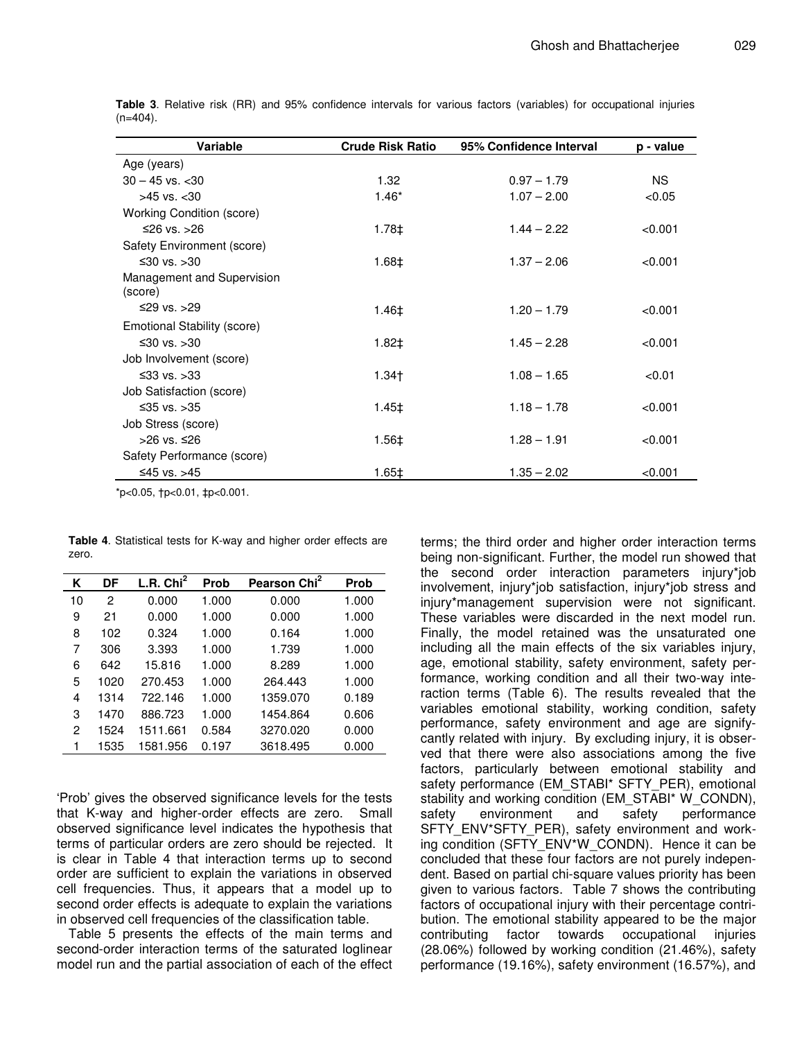|  | 029 |
|--|-----|
|  |     |

| Variable                              | <b>Crude Risk Ratio</b> | 95% Confidence Interval | p - value |
|---------------------------------------|-------------------------|-------------------------|-----------|
| Age (years)                           |                         |                         |           |
| $30 - 45$ vs. $< 30$                  | 1.32                    | $0.97 - 1.79$           | <b>NS</b> |
| $>45$ vs. $< 30$                      | $1.46*$                 | $1.07 - 2.00$           | < 0.05    |
| <b>Working Condition (score)</b>      |                         |                         |           |
| $\leq$ 26 vs. $>$ 26                  | $1.78 \pm$              | $1.44 - 2.22$           | < 0.001   |
| Safety Environment (score)            |                         |                         |           |
| $\leq 30$ vs. $>30$                   | $1.68 \pm$              | $1.37 - 2.06$           | < 0.001   |
| Management and Supervision<br>(score) |                         |                         |           |
| ≤29 vs. >29                           | 1.46‡                   | $1.20 - 1.79$           | < 0.001   |
| Emotional Stability (score)           |                         |                         |           |
| $\leq 30$ vs. $>30$                   | $1.82 \pm$              | $1.45 - 2.28$           | < 0.001   |
| Job Involvement (score)               |                         |                         |           |
| ≤33 vs. >33                           | $1.34+$                 | $1.08 - 1.65$           | < 0.01    |
| Job Satisfaction (score)              |                         |                         |           |
| ≤35 vs. >35                           | $1.45 \pm$              | $1.18 - 1.78$           | < 0.001   |
| Job Stress (score)                    |                         |                         |           |
| >26 vs. ≤26                           | 1.56‡                   | $1.28 - 1.91$           | < 0.001   |
| Safety Performance (score)            |                         |                         |           |
| ≤45 vs. >45                           | $1.65 \pm$              | $1.35 - 2.02$           | < 0.001   |

**Table 3**. Relative risk (RR) and 95% confidence intervals for various factors (variables) for occupational injuries  $(n=404)$ .

\*p<0.05, †p<0.01, ‡p<0.001.

| <b>Table 4.</b> Statistical tests for K-way and higher order effects are |  |  |  |
|--------------------------------------------------------------------------|--|--|--|
| zero.                                                                    |  |  |  |

| Κ  | DF   | L.R. $Chi2$ | Prob  | Pearson Chi <sup>2</sup> | <b>Prob</b> |
|----|------|-------------|-------|--------------------------|-------------|
| 10 | 2    | 0.000       | 1.000 | 0.000                    | 1.000       |
| 9  | 21   | 0.000       | 1.000 | 0.000                    | 1.000       |
| 8  | 102  | 0.324       | 1.000 | 0.164                    | 1.000       |
| 7  | 306  | 3.393       | 1.000 | 1.739                    | 1.000       |
| 6  | 642  | 15.816      | 1.000 | 8.289                    | 1.000       |
| 5  | 1020 | 270.453     | 1.000 | 264.443                  | 1.000       |
| 4  | 1314 | 722.146     | 1.000 | 1359.070                 | 0.189       |
| 3  | 1470 | 886.723     | 1.000 | 1454.864                 | 0.606       |
| 2  | 1524 | 1511.661    | 0.584 | 3270.020                 | 0.000       |
| 1  | 1535 | 1581.956    | 0.197 | 3618.495                 | 0.000       |

'Prob' gives the observed significance levels for the tests that K-way and higher-order effects are zero. Small observed significance level indicates the hypothesis that terms of particular orders are zero should be rejected. It is clear in Table 4 that interaction terms up to second order are sufficient to explain the variations in observed cell frequencies. Thus, it appears that a model up to second order effects is adequate to explain the variations in observed cell frequencies of the classification table.

Table 5 presents the effects of the main terms and second-order interaction terms of the saturated loglinear model run and the partial association of each of the effect

terms; the third order and higher order interaction terms being non-significant. Further, the model run showed that the second order interaction parameters injury\*job involvement, injury\*job satisfaction, injury\*job stress and injury\*management supervision were not significant. These variables were discarded in the next model run. Finally, the model retained was the unsaturated one including all the main effects of the six variables injury, age, emotional stability, safety environment, safety performance, working condition and all their two-way interaction terms (Table 6). The results revealed that the variables emotional stability, working condition, safety performance, safety environment and age are signifycantly related with injury. By excluding injury, it is observed that there were also associations among the five factors, particularly between emotional stability and safety performance (EM\_STABI\* SFTY\_PER), emotional stability and working condition (EM\_STABI\* W\_CONDN), safety environment and safety performance SFTY\_ENV\*SFTY\_PER), safety environment and working condition (SFTY\_ENV\*W\_CONDN). Hence it can be concluded that these four factors are not purely independent. Based on partial chi-square values priority has been given to various factors. Table 7 shows the contributing factors of occupational injury with their percentage contribution. The emotional stability appeared to be the major contributing factor towards occupational injuries (28.06%) followed by working condition (21.46%), safety performance (19.16%), safety environment (16.57%), and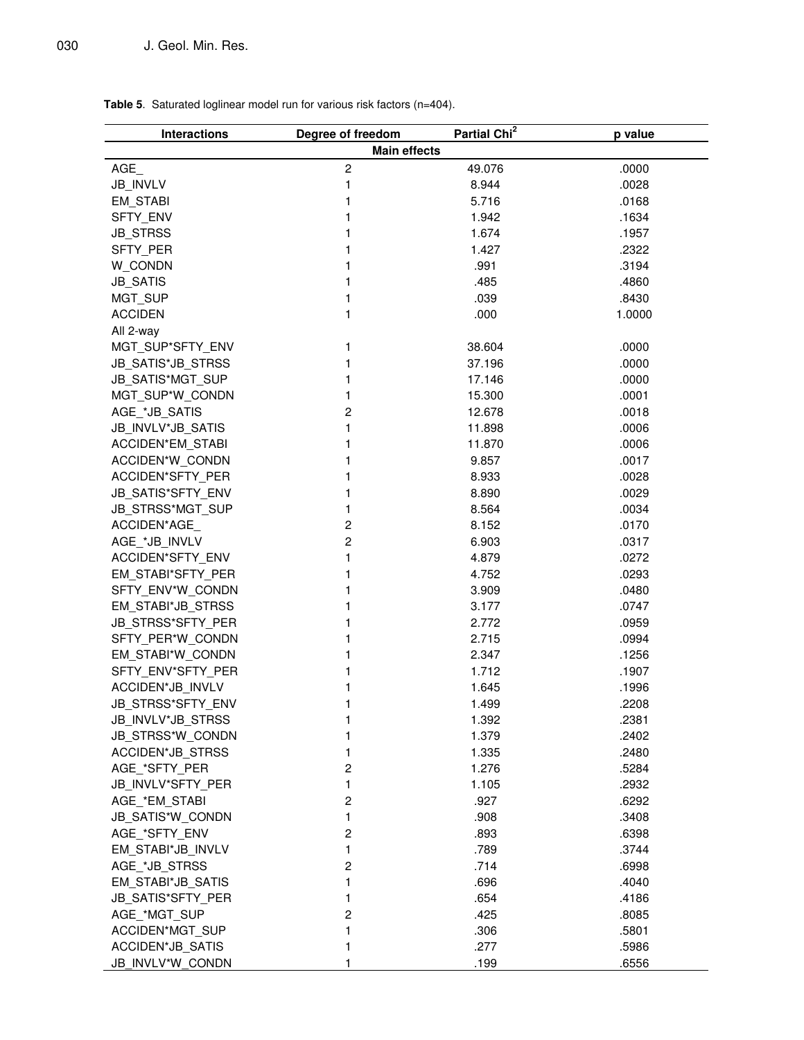**Table 5**. Saturated loglinear model run for various risk factors (n=404).

| <b>Interactions</b>                                                     | Degree of freedom       | Partial Chi <sup>2</sup>     | p value                          |
|-------------------------------------------------------------------------|-------------------------|------------------------------|----------------------------------|
|                                                                         | <b>Main effects</b>     |                              |                                  |
| AGE                                                                     | $\boldsymbol{2}$        | 49.076                       | .0000                            |
| JB_INVLV                                                                | $\mathbf{1}$            | 8.944                        | .0028                            |
| EM_STABI                                                                | 1                       | 5.716                        | .0168                            |
| SFTY_ENV                                                                | 1                       | 1.942                        | .1634                            |
| <b>JB_STRSS</b>                                                         | 1                       | 1.674                        | .1957                            |
| SFTY_PER                                                                | 1                       | 1.427                        | .2322                            |
| W_CONDN                                                                 | 1                       | .991                         | .3194                            |
| <b>JB_SATIS</b>                                                         | 1                       | .485                         | .4860                            |
| MGT_SUP                                                                 | 1                       | .039                         | .8430                            |
| <b>ACCIDEN</b>                                                          | $\mathbf{1}$            | .000                         | 1.0000                           |
| All 2-way                                                               |                         |                              |                                  |
| MGT_SUP*SFTY_ENV                                                        | 1                       | 38.604                       | .0000                            |
| JB_SATIS*JB_STRSS                                                       | 1                       | 37.196                       | .0000                            |
| JB_SATIS*MGT_SUP                                                        | 1                       | 17.146                       | .0000                            |
| MGT_SUP*W_CONDN                                                         | 1                       | 15.300                       | .0001                            |
| AGE_*JB_SATIS                                                           | 2                       | 12.678                       | .0018                            |
| JB_INVLV*JB_SATIS                                                       | $\mathbf{1}$            | 11.898                       | .0006                            |
| <b>ACCIDEN*EM STABI</b>                                                 | 1                       | 11.870                       | .0006                            |
| ACCIDEN*W_CONDN                                                         | 1                       | 9.857                        | .0017                            |
| ACCIDEN*SFTY PER                                                        | 1                       | 8.933                        | .0028                            |
| <b>JB SATIS*SFTY ENV</b>                                                | 1                       | 8.890                        | .0029                            |
| JB_STRSS*MGT_SUP                                                        | 1                       | 8.564                        | .0034                            |
| ACCIDEN*AGE                                                             | $\overline{\mathbf{c}}$ | 8.152                        | .0170                            |
| AGE_*JB_INVLV                                                           | $\overline{c}$          | 6.903                        | .0317                            |
| ACCIDEN*SFTY_ENV                                                        | $\mathbf{1}$            | 4.879                        | .0272                            |
| EM_STABI*SFTY_PER                                                       | 1                       | 4.752                        | .0293                            |
| SFTY_ENV*W_CONDN                                                        | 1                       | 3.909                        | .0480                            |
| EM_STABI*JB_STRSS                                                       | 1                       | 3.177                        | .0747                            |
| JB_STRSS*SFTY_PER                                                       | 1                       | 2.772                        | .0959                            |
| SFTY_PER*W_CONDN                                                        | 1                       | 2.715                        | .0994                            |
| EM_STABI*W_CONDN                                                        | 1                       | 2.347                        | .1256                            |
| SFTY_ENV*SFTY_PER                                                       | 1                       | 1.712                        | .1907                            |
| ACCIDEN*JB_INVLV                                                        | 1                       | 1.645                        | .1996                            |
| JB_STRSS*SFTY_ENV                                                       | 1                       | 1.499                        | .2208                            |
| <b>JB INVLV*JB STRSS</b>                                                | 1                       | 1.392                        | .2381                            |
| JB_STRSS*W_CONDN                                                        | 1                       | 1.379                        | .2402                            |
| ACCIDEN*JB_STRSS                                                        | 1                       | 1.335                        | .2480                            |
| AGE_*SFTY_PER                                                           | $\overline{\mathbf{c}}$ | 1.276                        | .5284                            |
| JB_INVLV*SFTY_PER                                                       | 1                       | 1.105                        | .2932                            |
| AGE_*EM_STABI                                                           | $\overline{c}$          | .927                         | .6292                            |
| JB_SATIS*W_CONDN                                                        | 1                       | .908                         | .3408                            |
| AGE_*SFTY_ENV                                                           | 2                       | .893                         | .6398                            |
| EM_STABI*JB_INVLV                                                       | 1                       | .789                         | .3744                            |
| AGE_*JB_STRSS                                                           | 2                       | .714                         | .6998                            |
| EM_STABI*JB_SATIS                                                       | 1                       | .696                         | .4040                            |
| JB SATIS*SFTY_PER                                                       | 1                       | .654                         | .4186                            |
|                                                                         |                         |                              |                                  |
|                                                                         |                         |                              |                                  |
|                                                                         |                         |                              |                                  |
|                                                                         |                         |                              |                                  |
| AGE_*MGT_SUP<br>ACCIDEN*MGT_SUP<br>ACCIDEN*JB SATIS<br>JB_INVLV*W_CONDN | 2<br>1<br>1             | .425<br>.306<br>.277<br>.199 | .8085<br>.5801<br>.5986<br>.6556 |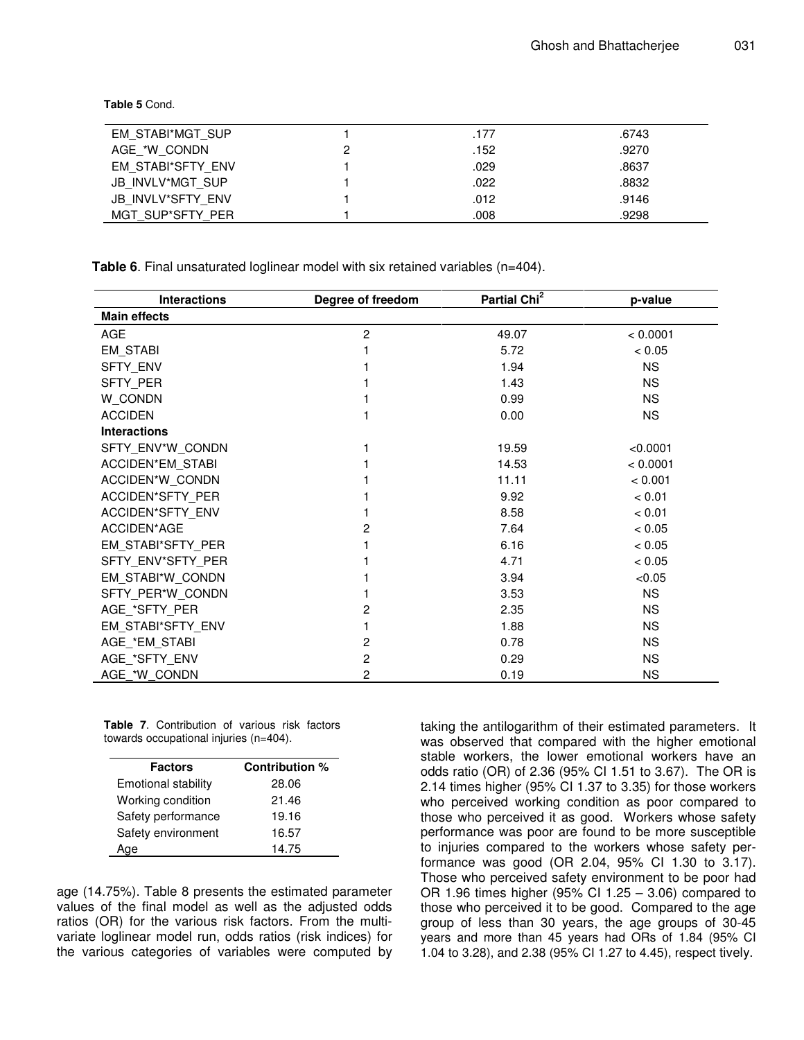**Table 5** Cond.

| EM STABI*MGT SUP  | .177 | .6743 |
|-------------------|------|-------|
| AGE *W CONDN      | .152 | .9270 |
| EM STABI*SFTY ENV | .029 | .8637 |
| JB INVLV*MGT SUP  | .022 | .8832 |
| JB INVLV*SFTY ENV | .012 | .9146 |
| MGT SUP*SFTY PER  | .008 | .9298 |

**Table 6**. Final unsaturated loglinear model with six retained variables (n=404).

| <b>Interactions</b>     | Degree of freedom | Partial Chi <sup>2</sup> | p-value   |
|-------------------------|-------------------|--------------------------|-----------|
| <b>Main effects</b>     |                   |                          |           |
| AGE                     | $\overline{c}$    | 49.07                    | < 0.0001  |
| EM_STABI                |                   | 5.72                     | < 0.05    |
| <b>SFTY ENV</b>         |                   | 1.94                     | <b>NS</b> |
| <b>SFTY PER</b>         |                   | 1.43                     | <b>NS</b> |
| W CONDN                 |                   | 0.99                     | <b>NS</b> |
| <b>ACCIDEN</b>          |                   | 0.00                     | <b>NS</b> |
| <b>Interactions</b>     |                   |                          |           |
| SFTY ENV*W CONDN        |                   | 19.59                    | < 0.0001  |
| <b>ACCIDEN*EM STABI</b> |                   | 14.53                    | < 0.0001  |
| ACCIDEN*W CONDN         |                   | 11.11                    | < 0.001   |
| ACCIDEN*SFTY PER        |                   | 9.92                     | < 0.01    |
| ACCIDEN*SFTY ENV        |                   | 8.58                     | < 0.01    |
| ACCIDEN*AGE             | 2                 | 7.64                     | < 0.05    |
| EM STABI*SFTY PER       |                   | 6.16                     | < 0.05    |
| SFTY ENV*SFTY PER       |                   | 4.71                     | < 0.05    |
| EM_STABI*W_CONDN        |                   | 3.94                     | < 0.05    |
| SFTY PER*W CONDN        |                   | 3.53                     | <b>NS</b> |
| AGE_*SFTY_PER           | 2                 | 2.35                     | <b>NS</b> |
| EM STABI*SFTY ENV       |                   | 1.88                     | <b>NS</b> |
| AGE_*EM_STABI           | $\overline{c}$    | 0.78                     | <b>NS</b> |
| AGE *SFTY ENV           | $\overline{c}$    | 0.29                     | <b>NS</b> |
| AGE *W CONDN            | 2                 | 0.19                     | <b>NS</b> |

**Table 7**. Contribution of various risk factors towards occupational injuries (n=404).

| <b>Factors</b>             | Contribution % |
|----------------------------|----------------|
| <b>Emotional stability</b> | 28.06          |
| Working condition          | 21.46          |
| Safety performance         | 19.16          |
| Safety environment         | 16.57          |
| Age                        | 14.75          |

age (14.75%). Table 8 presents the estimated parameter values of the final model as well as the adjusted odds ratios (OR) for the various risk factors. From the multivariate loglinear model run, odds ratios (risk indices) for the various categories of variables were computed by taking the antilogarithm of their estimated parameters. It was observed that compared with the higher emotional stable workers, the lower emotional workers have an odds ratio (OR) of 2.36 (95% CI 1.51 to 3.67). The OR is 2.14 times higher (95% CI 1.37 to 3.35) for those workers who perceived working condition as poor compared to those who perceived it as good. Workers whose safety performance was poor are found to be more susceptible to injuries compared to the workers whose safety performance was good (OR 2.04, 95% CI 1.30 to 3.17). Those who perceived safety environment to be poor had OR 1.96 times higher (95% CI 1.25 – 3.06) compared to those who perceived it to be good. Compared to the age group of less than 30 years, the age groups of 30-45 years and more than 45 years had ORs of 1.84 (95% CI 1.04 to 3.28), and 2.38 (95% CI 1.27 to 4.45), respect tively.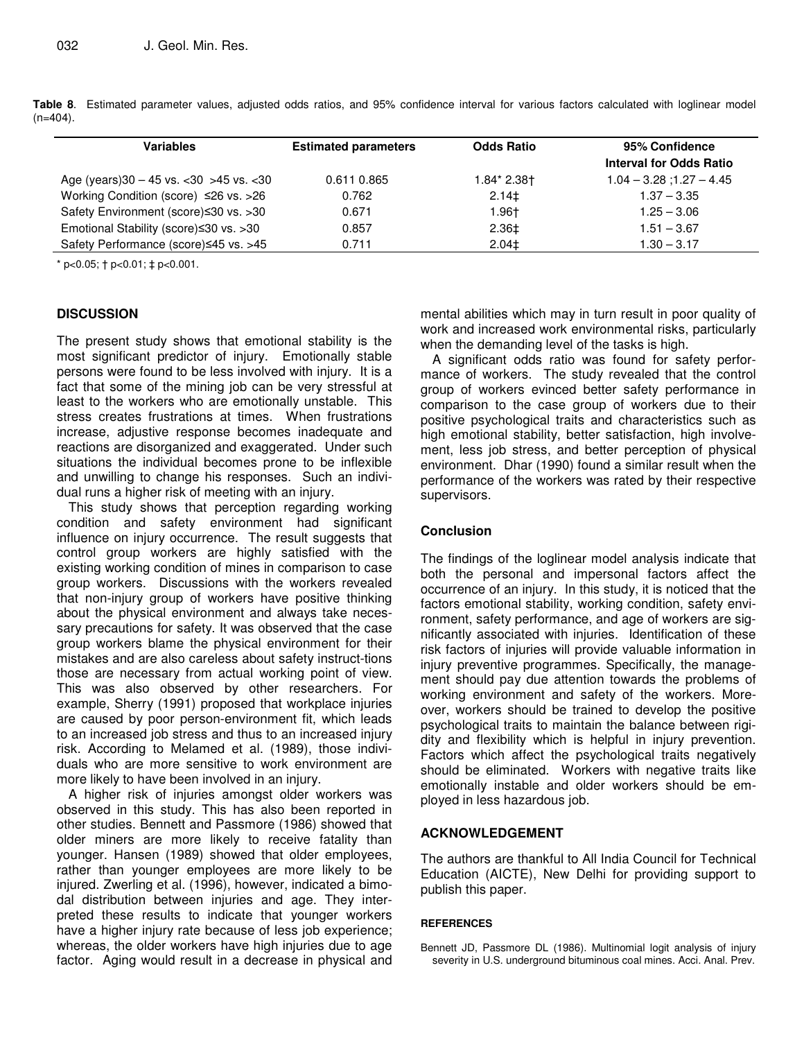| <b>Variables</b>                                     | <b>Estimated parameters</b> | <b>Odds Ratio</b> | 95% Confidence                 |
|------------------------------------------------------|-----------------------------|-------------------|--------------------------------|
|                                                      |                             |                   | <b>Interval for Odds Ratio</b> |
| Age (years) $30 - 45$ vs. $\lt 30$ > 45 vs. $\lt 30$ | 0.611 0.865                 | 1.84* 2.38†       | $1.04 - 3.28$ ; 1.27 $- 4.45$  |
| Working Condition (score) ≤26 vs. >26                | 0.762                       | $2.14\pm$         | $1.37 - 3.35$                  |
| Safety Environment (score)≤30 vs. >30                | 0.671                       | 1.96†             | $1.25 - 3.06$                  |
| Emotional Stability (score)≤30 vs. >30               | 0.857                       | 2.36‡             | $1.51 - 3.67$                  |
| Safety Performance (score)≤45 vs. >45                | 0.711                       | $2.04\pm$         | $1.30 - 3.17$                  |

**Table 8**. Estimated parameter values, adjusted odds ratios, and 95% confidence interval for various factors calculated with loglinear model  $(n=404)$ .

 $*$  p<0.05;  $\dagger$  p<0.01;  $\ddagger$  p<0.001.

# **DISCUSSION**

The present study shows that emotional stability is the most significant predictor of injury. Emotionally stable persons were found to be less involved with injury. It is a fact that some of the mining job can be very stressful at least to the workers who are emotionally unstable. This stress creates frustrations at times. When frustrations increase, adjustive response becomes inadequate and reactions are disorganized and exaggerated. Under such situations the individual becomes prone to be inflexible and unwilling to change his responses. Such an individual runs a higher risk of meeting with an injury.

This study shows that perception regarding working condition and safety environment had significant influence on injury occurrence. The result suggests that control group workers are highly satisfied with the existing working condition of mines in comparison to case group workers. Discussions with the workers revealed that non-injury group of workers have positive thinking about the physical environment and always take necessary precautions for safety. It was observed that the case group workers blame the physical environment for their mistakes and are also careless about safety instruct-tions those are necessary from actual working point of view. This was also observed by other researchers. For example, Sherry (1991) proposed that workplace injuries are caused by poor person-environment fit, which leads to an increased job stress and thus to an increased injury risk. According to Melamed et al. (1989), those individuals who are more sensitive to work environment are more likely to have been involved in an injury.

A higher risk of injuries amongst older workers was observed in this study. This has also been reported in other studies. Bennett and Passmore (1986) showed that older miners are more likely to receive fatality than younger. Hansen (1989) showed that older employees, rather than younger employees are more likely to be injured. Zwerling et al. (1996), however, indicated a bimodal distribution between injuries and age. They interpreted these results to indicate that younger workers have a higher injury rate because of less job experience; whereas, the older workers have high injuries due to age factor. Aging would result in a decrease in physical and

mental abilities which may in turn result in poor quality of work and increased work environmental risks, particularly when the demanding level of the tasks is high.

A significant odds ratio was found for safety performance of workers. The study revealed that the control group of workers evinced better safety performance in comparison to the case group of workers due to their positive psychological traits and characteristics such as high emotional stability, better satisfaction, high involvement, less job stress, and better perception of physical environment. Dhar (1990) found a similar result when the performance of the workers was rated by their respective supervisors.

# **Conclusion**

The findings of the loglinear model analysis indicate that both the personal and impersonal factors affect the occurrence of an injury. In this study, it is noticed that the factors emotional stability, working condition, safety environment, safety performance, and age of workers are significantly associated with injuries. Identification of these risk factors of injuries will provide valuable information in injury preventive programmes. Specifically, the management should pay due attention towards the problems of working environment and safety of the workers. Moreover, workers should be trained to develop the positive psychological traits to maintain the balance between rigidity and flexibility which is helpful in injury prevention. Factors which affect the psychological traits negatively should be eliminated. Workers with negative traits like emotionally instable and older workers should be employed in less hazardous job.

# **ACKNOWLEDGEMENT**

The authors are thankful to All India Council for Technical Education (AICTE), New Delhi for providing support to publish this paper.

# **REFERENCES**

Bennett JD, Passmore DL (1986). Multinomial logit analysis of injury severity in U.S. underground bituminous coal mines. Acci. Anal. Prev.